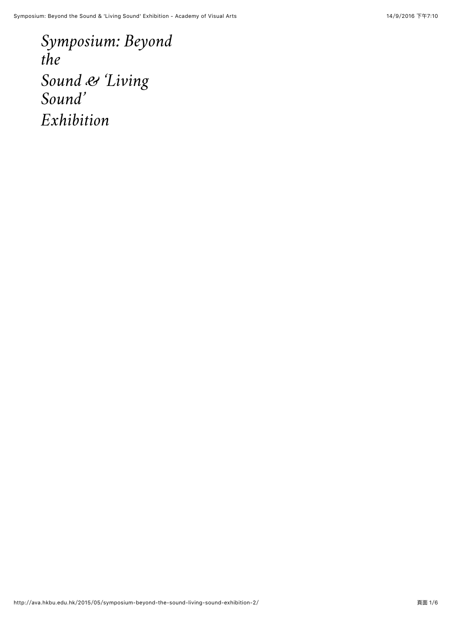*[Symposium: Beyond](http://ava.hkbu.edu.hk/2015/05/symposium-beyond-the-sound-living-sound-exhibition-2/#main) the Sound & 'Living Sound' Exhibition*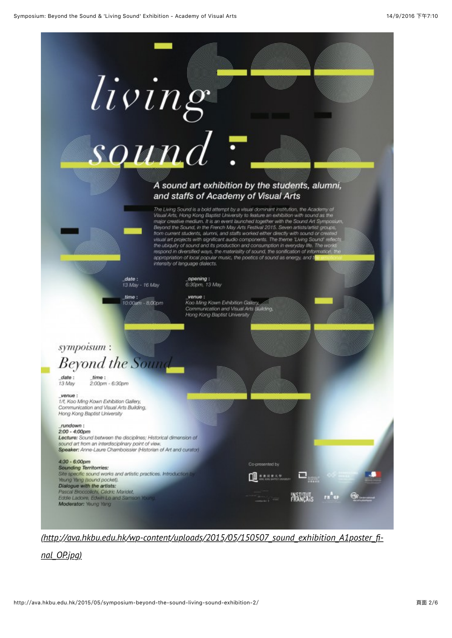

*[\(http://ava.hkbu.edu.hk/wp-content/uploads/2015/05/150507\\_sound\\_exhibition\\_A1poster\\_](http://ava.hkbu.edu.hk/wp-content/uploads/2015/05/150507_sound_exhibition_A1poster_final_OP.jpg)fi‐*

*nal\_OP.jpg)*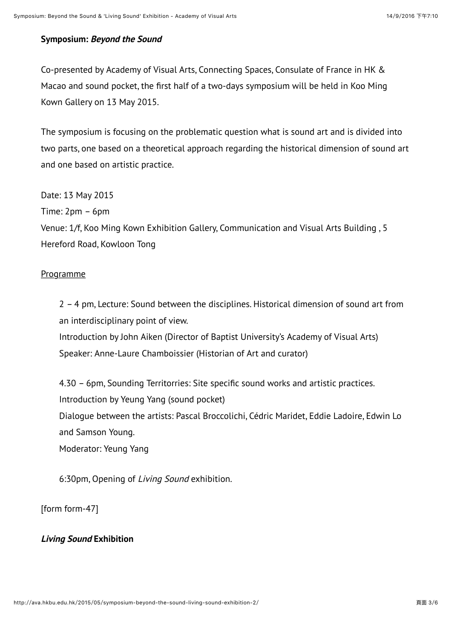## **Symposium: Beyond the Sound**

Co-presented by Academy of Visual Arts, Connecting Spaces, Consulate of France in HK & Macao and sound pocket, the first half of a two-days symposium will be held in Koo Ming Kown Gallery on 13 May 2015.

The symposium is focusing on the problematic question what is sound art and is divided into two parts, one based on a theoretical approach regarding the historical dimension of sound art and one based on artistic practice.

Date: 13 May 2015

Time: 2pm – 6pm

Venue: 1/f, Koo Ming Kown Exhibition Gallery, Communication and Visual Arts Building , 5 Hereford Road, Kowloon Tong

## Programme

2 – 4 pm, Lecture: Sound between the disciplines. Historical dimension of sound art from an interdisciplinary point of view. Introduction by John Aiken (Director of Baptist University's Academy of Visual Arts) Speaker: Anne-Laure Chamboissier (Historian of Art and curator)

4.30 – 6pm, Sounding Territorries: Site specific sound works and artistic practices. Introduction by Yeung Yang (sound pocket) Dialogue between the artists: Pascal Broccolichi, Cédric Maridet, Eddie Ladoire, Edwin Lo and Samson Young. Moderator: Yeung Yang

6:30pm, Opening of Living Sound exhibition.

[form form-47]

## **Living Sound Exhibition**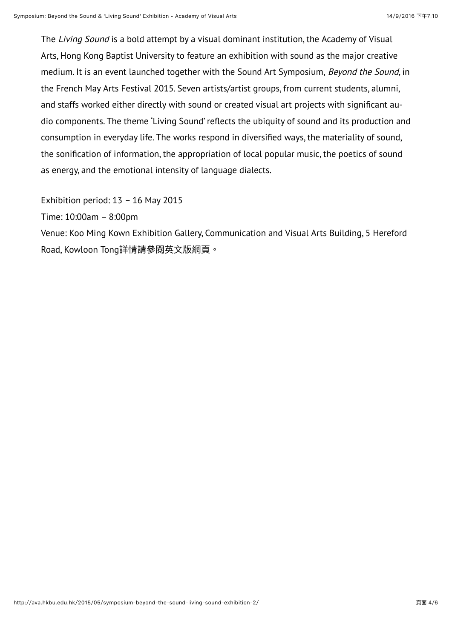The *Living Sound* is a bold attempt by a visual dominant institution, the Academy of Visual Arts, Hong Kong Baptist University to feature an exhibition with sound as the major creative medium. It is an event launched together with the Sound Art Symposium, Beyond the Sound, in the French May Arts Festival 2015. Seven artists/artist groups, from current students, alumni, and staffs worked either directly with sound or created visual art projects with significant audio components. The theme 'Living Sound' reflects the ubiquity of sound and its production and consumption in everyday life. The works respond in diversified ways, the materiality of sound, the sonification of information, the appropriation of local popular music, the poetics of sound as energy, and the emotional intensity of language dialects.

Exhibition period: 13 – 16 May 2015

Time: 10:00am – 8:00pm

Venue: Koo Ming Kown Exhibition Gallery, Communication and Visual Arts Building, 5 Hereford Road, Kowloon Tong詳情請參閱英文版網頁。